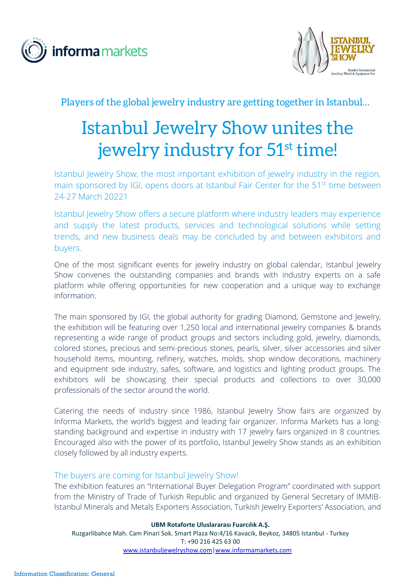



Players of the global jewelry industry are getting together in Istanbul…

# Istanbul Jewelry Show unites the jewelry industry for 51<sup>st</sup> time!

Istanbul Jewelry Show, the most important exhibition of jewelry industry in the region, main sponsored by IGI, opens doors at Istanbul Fair Center for the 51<sup>st</sup> time between 24-27 March 20221

Istanbul Jewelry Show offers a secure platform where industry leaders may experience and supply the latest products, services and technological solutions while setting trends, and new business deals may be concluded by and between exhibitors and buyers.

One of the most significant events for jewelry industry on global calendar, Istanbul Jewelry Show convenes the outstanding companies and brands with industry experts on a safe platform while offering opportunities for new cooperation and a unique way to exchange information.

The main sponsored by IGI, the global authority for grading Diamond, Gemstone and Jewelry, the exhibition will be featuring over 1,250 local and international jewelry companies & brands representing a wide range of product groups and sectors including gold, jewelry, diamonds, colored stones, precious and semi-precious stones, pearls, silver, silver accessories and silver household items, mounting, refinery, watches, molds, shop window decorations, machinery and equipment side industry, safes, software, and logistics and lighting product groups. The exhibitors will be showcasing their special products and collections to over 30,000 professionals of the sector around the world.

Catering the needs of industry since 1986, Istanbul Jewelry Show fairs are organized by Informa Markets, the world's biggest and leading fair organizer. Informa Markets has a longstanding background and expertise in industry with 17 jewelry fairs organized in 8 countries. Encouraged also with the power of its portfolio, Istanbul Jewelry Show stands as an exhibition closely followed by all industry experts.

## The buyers are coming for Istanbul Jewelry Show!

The exhibition features an "International Buyer Delegation Program" coordinated with support from the Ministry of Trade of Turkish Republic and organized by General Secretary of IMMIB-Istanbul Minerals and Metals Exporters Association, Turkish Jewelry Exporters' Association, and

**UBM Rotaforte Uluslararası Fuarcılık A.Ş.**

Ruzgarlibahce Mah. Cam Pinari Sok. Smart Plaza No:4/16 Kavacik, Beykoz, 34805 Istanbul - Turkey T: +90 216 425 63 00 [www.istanbuljewelryshow.com](http://www.istanbuljewelryshow.com/)[|www.informamarkets.com](http://www.informamarkets.com/)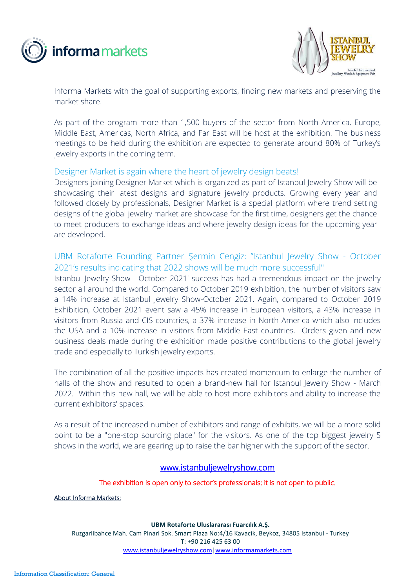



Informa Markets with the goal of supporting exports, finding new markets and preserving the market share.

As part of the program more than 1,500 buyers of the sector from North America, Europe, Middle East, Americas, North Africa, and Far East will be host at the exhibition. The business meetings to be held during the exhibition are expected to generate around 80% of Turkey's jewelry exports in the coming term.

## Designer Market is again where the heart of jewelry design beats!

Designers joining Designer Market which is organized as part of Istanbul Jewelry Show will be showcasing their latest designs and signature jewelry products. Growing every year and followed closely by professionals, Designer Market is a special platform where trend setting designs of the global jewelry market are showcase for the first time, designers get the chance to meet producers to exchange ideas and where jewelry design ideas for the upcoming year are developed.

# UBM Rotaforte Founding Partner Şermin Cengiz: "Istanbul Jewelry Show - October 2021's results indicating that 2022 shows will be much more successful"

Istanbul Jewelry Show - October 2021' success has had a tremendous impact on the jewelry sector all around the world. Compared to October 2019 exhibition, the number of visitors saw a 14% increase at Istanbul Jewelry Show-October 2021. Again, compared to October 2019 Exhibition, October 2021 event saw a 45% increase in European visitors, a 43% increase in visitors from Russia and CIS countries, a 37% increase in North America which also includes the USA and a 10% increase in visitors from Middle East countries. Orders given and new business deals made during the exhibition made positive contributions to the global jewelry trade and especially to Turkish jewelry exports.

The combination of all the positive impacts has created momentum to enlarge the number of halls of the show and resulted to open a brand-new hall for Istanbul Jewelry Show - March 2022. Within this new hall, we will be able to host more exhibitors and ability to increase the current exhibitors' spaces.

As a result of the increased number of exhibitors and range of exhibits, we will be a more solid point to be a "one-stop sourcing place" for the visitors. As one of the top biggest jewelry 5 shows in the world, we are gearing up to raise the bar higher with the support of the sector.

## [www.istanbuljewelryshow.com](http://www.istanbuljewelryshow.com/)

#### The exhibition is open only to sector's professionals; it is not open to public.

About Informa Markets:

**UBM Rotaforte Uluslararası Fuarcılık A.Ş.** Ruzgarlibahce Mah. Cam Pinari Sok. Smart Plaza No:4/16 Kavacik, Beykoz, 34805 Istanbul - Turkey T: +90 216 425 63 00 [www.istanbuljewelryshow.com](http://www.istanbuljewelryshow.com/)[|www.informamarkets.com](http://www.informamarkets.com/)